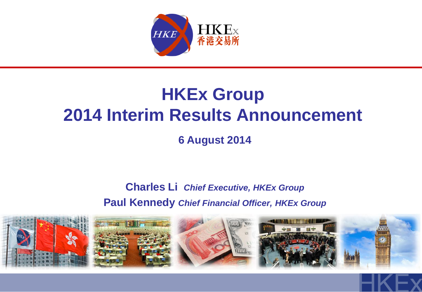

## **HKEx Group 2014 Interim Results Announcement**

**6 August 2014**

**Charles Li** *Chief Executive, HKEx Group* **Paul Kennedy** *Chief Financial Officer, HKEx Group*

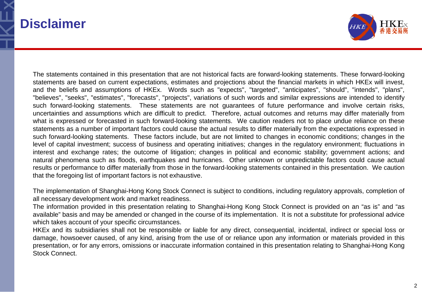### **Disclaimer**



The statements contained in this presentation that are not historical facts are forward-looking statements. These forward-looking statements are based on current expectations, estimates and projections about the financial markets in which HKEx will invest, and the beliefs and assumptions of HKEx. Words such as "expects", "targeted", "anticipates", "should", "intends", "plans", "believes", "seeks", "estimates", "forecasts", "projects", variations of such words and similar expressions are intended to identify such forward-looking statements. These statements are not guarantees of future performance and involve certain risks, uncertainties and assumptions which are difficult to predict. Therefore, actual outcomes and returns may differ materially from what is expressed or forecasted in such forward-looking statements. We caution readers not to place undue reliance on these statements as a number of important factors could cause the actual results to differ materially from the expectations expressed in such forward-looking statements. These factors include, but are not limited to changes in economic conditions; changes in the level of capital investment; success of business and operating initiatives; changes in the regulatory environment; fluctuations in interest and exchange rates; the outcome of litigation; changes in political and economic stability; government actions; and natural phenomena such as floods, earthquakes and hurricanes. Other unknown or unpredictable factors could cause actual results or performance to differ materially from those in the forward-looking statements contained in this presentation. We caution that the foregoing list of important factors is not exhaustive.

The implementation of Shanghai-Hong Kong Stock Connect is subject to conditions, including regulatory approvals, completion of all necessary development work and market readiness.

The information provided in this presentation relating to Shanghai-Hong Kong Stock Connect is provided on an "as is" and "as available" basis and may be amended or changed in the course of its implementation. It is not a substitute for professional advice which takes account of your specific circumstances.

HKEx and its subsidiaries shall not be responsible or liable for any direct, consequential, incidental, indirect or special loss or damage, howsoever caused, of any kind, arising from the use of or reliance upon any information or materials provided in this presentation, or for any errors, omissions or inaccurate information contained in this presentation relating to Shanghai-Hong Kong Stock Connect.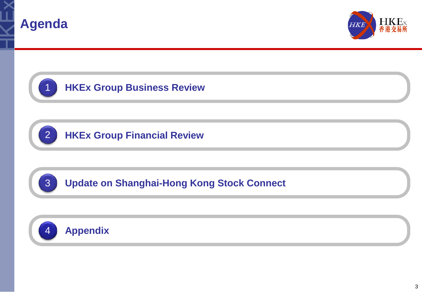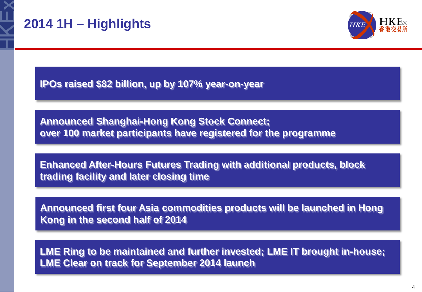

## **2014 1H – Highlights**



**IPOs raised \$82 billion, up by 107% year-on-year** 

**Announced Shanghai-Hong Kong Stock Connect; over 100 market participants have registered for the programme**

**Enhanced After-Hours Futures Trading with additional products, block trading facility and later closing time**

**Announced first four Asia commodities products will be launched in Hong Kong in the second half of 2014**

**LME Ring to be maintained and further invested; LME IT brought in-house; LME Clear on track for September 2014 launch**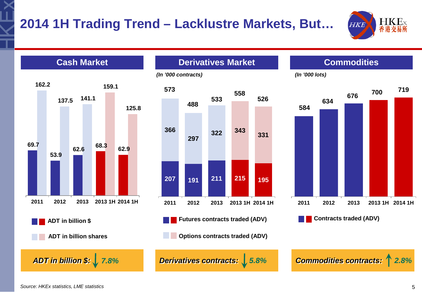



*Source: HKEx statistics, LME statistics*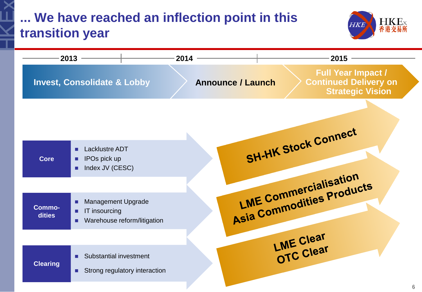## **... We have reached an inflection point in this transition year**



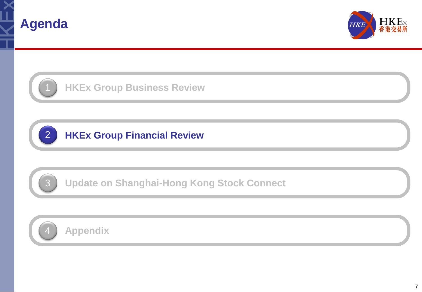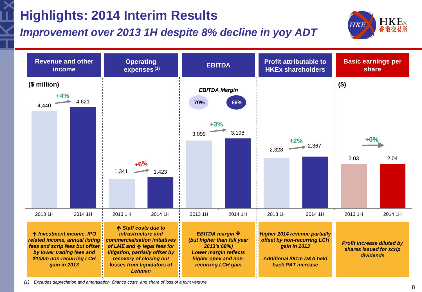## **Highlights: 2014 Interim Results**

### *Improvement over 2013 1H despite 8% decline in yoy ADT*





*(1) Excludes depreciation and amortisation, finance costs, and share of loss of a joint venture*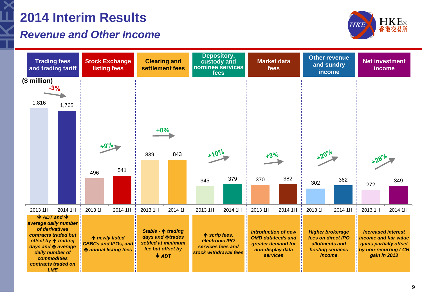## **2014 Interim Results**

### *Revenue and Other Income*



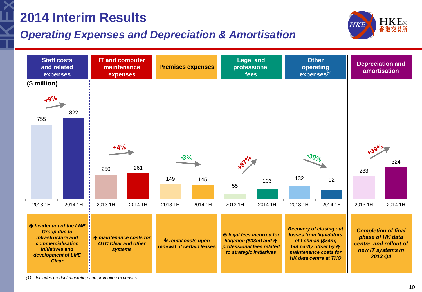## **2014 Interim Results**

### *Operating Expenses and Depreciation & Amortisation*





*(1) Includes product marketing and promotion expenses*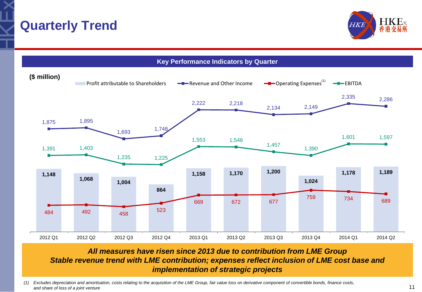





#### *All measures have risen since 2013 due to contribution from LME Group Stable revenue trend with LME contribution; expenses reflect inclusion of LME cost base and implementation of strategic projects*

*(1) Excludes depreciation and amortisation, costs relating to the acquisition of the LME Group, fair value loss on derivative component of convertible bonds, finance costs, and share of loss of a joint venture*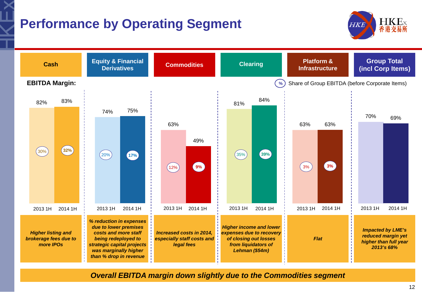## **Performance by Operating Segment**





*Overall EBITDA margin down slightly due to the Commodities segment*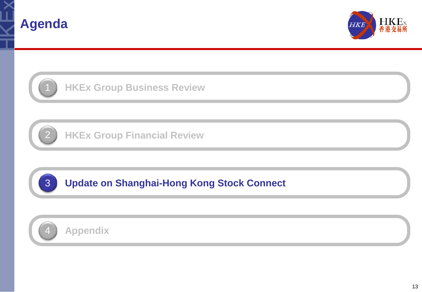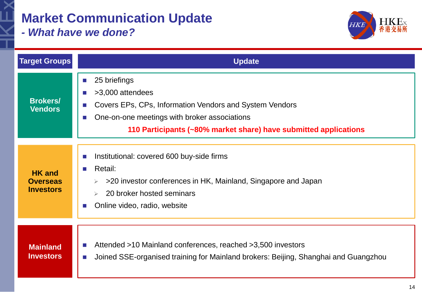## **Market Communication Update**

*- What have we done?*



| <b>Target Groups</b>                                 | <b>Update</b>                                                                                                                                                                                                                                                   |
|------------------------------------------------------|-----------------------------------------------------------------------------------------------------------------------------------------------------------------------------------------------------------------------------------------------------------------|
| <b>Brokers/</b><br><b>Vendors</b>                    | 25 briefings<br>$\sim$<br>>3,000 attendees<br>$\sim$<br>Covers EPs, CPs, Information Vendors and System Vendors<br>$\mathbb{R}^n$<br>One-on-one meetings with broker associations<br>$\sim$<br>110 Participants (~80% market share) have submitted applications |
| <b>HK</b> and<br><b>Overseas</b><br><b>Investors</b> | Institutional: covered 600 buy-side firms<br><b>COL</b><br>Retail:<br>$\sim 10$<br>>20 investor conferences in HK, Mainland, Singapore and Japan<br>20 broker hosted seminars<br>Online video, radio, website<br><b>College</b>                                 |
| <b>Mainland</b><br><b>Investors</b>                  | Attended >10 Mainland conferences, reached >3,500 investors<br>$\mathcal{L}^{\mathcal{L}}$<br>Joined SSE-organised training for Mainland brokers: Beijing, Shanghai and Guangzhou<br>$\mathcal{L}^{\mathcal{L}}$                                                |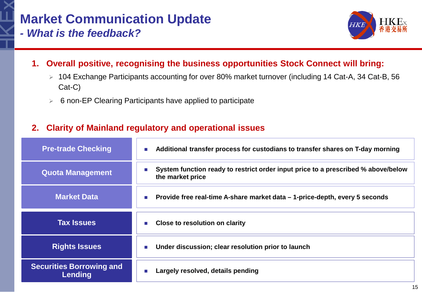# **Market Communication Update**



- *- What is the feedback?*
	- **1. Overall positive, recognising the business opportunities Stock Connect will bring:**
		- 104 Exchange Participants accounting for over 80% market turnover (including 14 Cat-A, 34 Cat-B, 56 Cat-C)
		- $\triangleright$  6 non-EP Clearing Participants have applied to participate

#### **2. Clarity of Mainland regulatory and operational issues**

| <b>Pre-trade Checking</b> | Additional transfer process for custodians to transfer shares on T-day morning<br>$\mathcal{C}$                           |
|---------------------------|---------------------------------------------------------------------------------------------------------------------------|
| <b>Quota Management</b>   | System function ready to restrict order input price to a prescribed % above/below<br><b>The State</b><br>the market price |
| <b>Market Data</b>        | Provide free real-time A-share market data – 1-price-depth, every 5 seconds<br>×                                          |
|                           |                                                                                                                           |
| <b>Tax Issues</b>         | Close to resolution on clarity<br>$\mathbb{R}^n$                                                                          |
| <b>Rights Issues</b>      | Under discussion; clear resolution prior to launch<br>×                                                                   |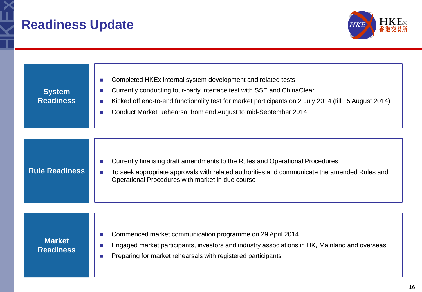## **Readiness Update**



| <b>System</b><br><b>Readiness</b> | Completed HKEx internal system development and related tests<br>п<br>Currently conducting four-party interface test with SSE and ChinaClear<br>F.<br>Kicked off end-to-end functionality test for market participants on 2 July 2014 (till 15 August 2014)<br>п<br>Conduct Market Rehearsal from end August to mid-September 2014<br>П |
|-----------------------------------|----------------------------------------------------------------------------------------------------------------------------------------------------------------------------------------------------------------------------------------------------------------------------------------------------------------------------------------|
| <b>Rule Readiness</b>             | Currently finalising draft amendments to the Rules and Operational Procedures<br>r.<br>To seek appropriate approvals with related authorities and communicate the amended Rules and<br>Operational Procedures with market in due course                                                                                                |
| <b>Market</b><br><b>Readiness</b> | Commenced market communication programme on 29 April 2014<br>m.<br>Engaged market participants, investors and industry associations in HK, Mainland and overseas<br>П<br>Preparing for market rehearsals with registered participants<br>П                                                                                             |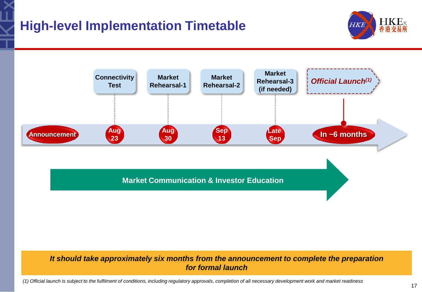## **High-level Implementation Timetable**





**Market Communication & Investor Education**

#### *It should take approximately six months from the announcement to complete the preparation for formal launch*

*(1) Official launch is subject to the fulfilment of conditions, including regulatory approvals, completion of all necessary development work and market readiness*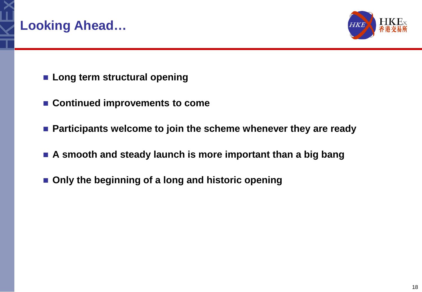



- **Long term structural opening**
- **Continued improvements to come**
- **Participants welcome to join the scheme whenever they are ready**
- **A smooth and steady launch is more important than a big bang**
- Only the beginning of a long and historic opening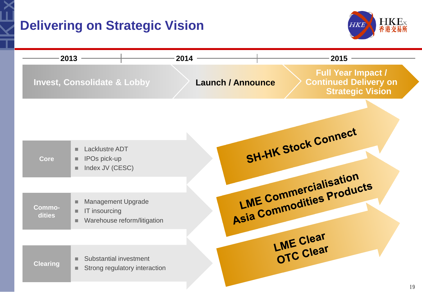## **Delivering on Strategic Vision**



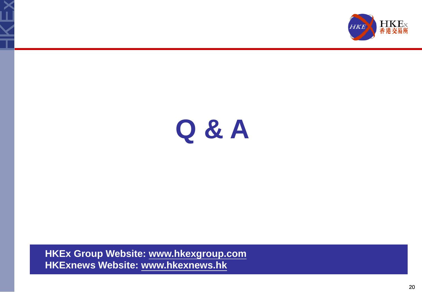



# **Q & A**

**HKEx Group Website: www.hkexgroup.com HKExnews Website: www.hkexnews.hk**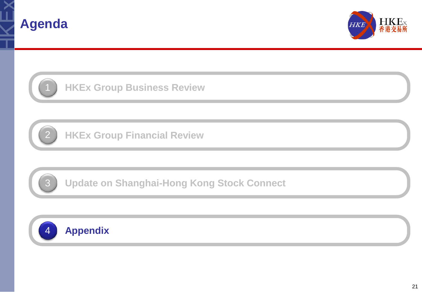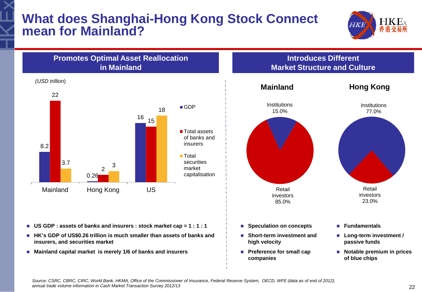### **What does Shanghai-Hong Kong Stock Connect mean for Mainland?**



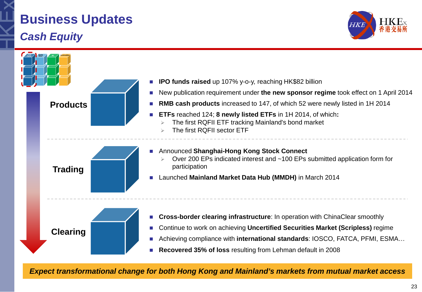## **Business Updates** *Cash Equity*





*Expect transformational change for both Hong Kong and Mainland's markets from mutual market access*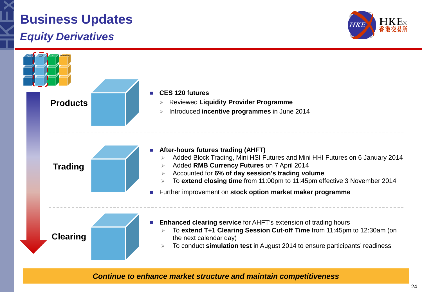# **Business Updates**

### *Equity Derivatives*





*Continue to enhance market structure and maintain competitiveness*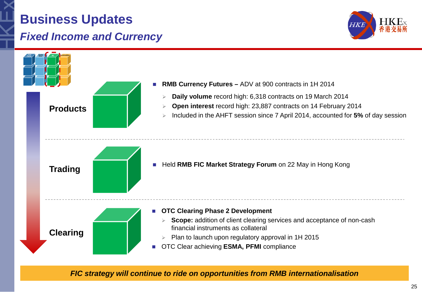## **Business Updates** *Fixed Income and Currency*





*FIC strategy will continue to ride on opportunities from RMB internationalisation*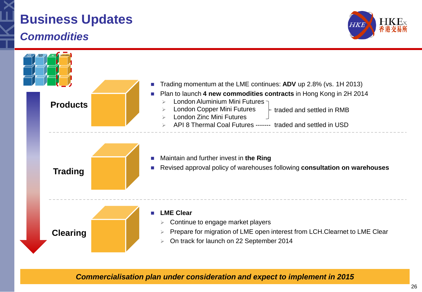## **Business Updates** *Commodities*





*Commercialisation plan under consideration and expect to implement in 2015*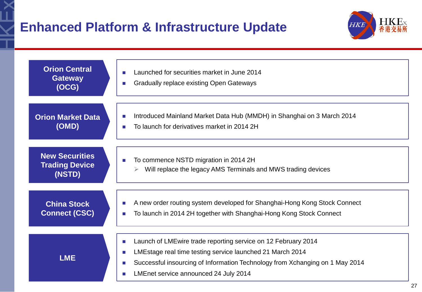

| <b>Orion Central</b>                                     | Launched for securities market in June 2014                                                                                                                                                                                                              |
|----------------------------------------------------------|----------------------------------------------------------------------------------------------------------------------------------------------------------------------------------------------------------------------------------------------------------|
| <b>Gateway</b>                                           | <b>Gradually replace existing Open Gateways</b>                                                                                                                                                                                                          |
| (OCG)                                                    | ×                                                                                                                                                                                                                                                        |
| <b>Orion Market Data</b>                                 | Introduced Mainland Market Data Hub (MMDH) in Shanghai on 3 March 2014                                                                                                                                                                                   |
| (OMD)                                                    | To launch for derivatives market in 2014 2H                                                                                                                                                                                                              |
| <b>New Securities</b><br><b>Trading Device</b><br>(NSTD) | To commence NSTD migration in 2014 2H<br>Will replace the legacy AMS Terminals and MWS trading devices                                                                                                                                                   |
| <b>China Stock</b>                                       | A new order routing system developed for Shanghai-Hong Kong Stock Connect                                                                                                                                                                                |
| <b>Connect (CSC)</b>                                     | To launch in 2014 2H together with Shanghai-Hong Kong Stock Connect                                                                                                                                                                                      |
| <b>LME</b>                                               | Launch of LMEwire trade reporting service on 12 February 2014<br>×<br>LMEstage real time testing service launched 21 March 2014<br>Successful insourcing of Information Technology from Xchanging on 1 May 2014<br>LMEnet service announced 24 July 2014 |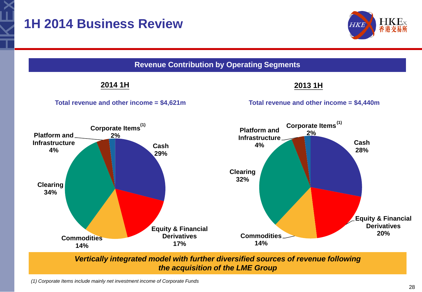## **1H 2014 Business Review**





*the acquisition of the LME Group*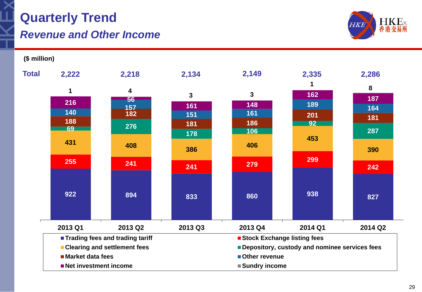# **Quarterly Trend**

#### *Revenue and Other Income*



**(\$ million)**

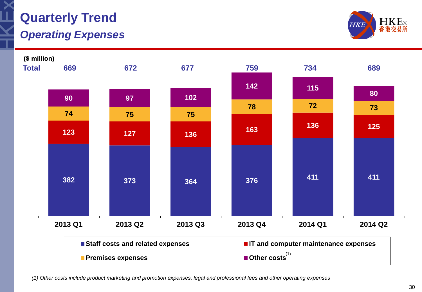

## **Quarterly Trend**

### *Operating Expenses*





*(1) Other costs include product marketing and promotion expenses, legal and professional fees and other operating expenses*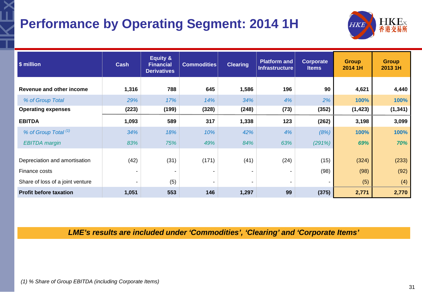## **Performance by Operating Segment: 2014 1H**



| \$ million                       | <b>Cash</b> | <b>Equity &amp;</b><br><b>Financial</b><br><b>Derivatives</b> | <b>Commodities</b> | <b>Clearing</b> | <b>Platform and</b><br><b>Infrastructure</b> | Corporate<br><b>Items</b> | <b>Group</b><br>2014 1H | <b>Group</b><br>2013 1H |
|----------------------------------|-------------|---------------------------------------------------------------|--------------------|-----------------|----------------------------------------------|---------------------------|-------------------------|-------------------------|
| Revenue and other income         | 1,316       | 788                                                           | 645                | 1,586           | 196                                          | 90                        | 4,621                   | 4,440                   |
| % of Group Total                 | 29%         | 17%                                                           | 14%                | 34%             | 4%                                           | 2%                        | 100%                    | 100%                    |
| <b>Operating expenses</b>        | (223)       | (199)                                                         | (328)              | (248)           | (73)                                         | (352)                     | (1, 423)                | (1, 341)                |
| <b>EBITDA</b>                    | 1,093       | 589                                                           | 317                | 1,338           | 123                                          | (262)                     | 3,198                   | 3,099                   |
| % of Group Total (1)             | 34%         | 18%                                                           | 10%                | 42%             | 4%                                           | (8%)                      | 100%                    | 100%                    |
| <b>EBITDA</b> margin             | 83%         | 75%                                                           | 49%                | 84%             | 63%                                          | (291%)                    | 69%                     | 70%                     |
|                                  |             |                                                               |                    |                 |                                              |                           |                         |                         |
| Depreciation and amortisation    | (42)        | (31)                                                          | (171)              | (41)            | (24)                                         | (15)                      | (324)                   | (233)                   |
| Finance costs                    | ۰           |                                                               |                    |                 | $\overline{\phantom{a}}$                     | (98)                      | (98)                    | (92)                    |
| Share of loss of a joint venture | ٠           | (5)                                                           | $\blacksquare$     | ۰               | $\overline{\phantom{a}}$                     | ۰                         | (5)                     | (4)                     |
| <b>Profit before taxation</b>    | 1,051       | 553                                                           | 146                | 1,297           | 99                                           | (375)                     | 2,771                   | 2,770                   |

*LME's results are included under 'Commodities', 'Clearing' and 'Corporate Items'*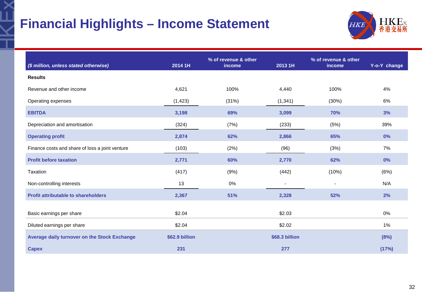## **Financial Highlights – Income Statement**



| (\$ million, unless stated otherwise)           | 2014 1H        | % of revenue & other<br>income | 2013 1H                  | % of revenue & other<br>income | Y-o-Y change |
|-------------------------------------------------|----------------|--------------------------------|--------------------------|--------------------------------|--------------|
| <b>Results</b>                                  |                |                                |                          |                                |              |
| Revenue and other income                        | 4,621          | 100%                           | 4,440                    | 100%                           | 4%           |
| Operating expenses                              | (1, 423)       | (31%)                          | (1, 341)                 | (30%)                          | 6%           |
| <b>EBITDA</b>                                   | 3,198          | 69%                            | 3,099                    | 70%                            | 3%           |
| Depreciation and amortisation                   | (324)          | (7%)                           | (233)                    | (5%)                           | 39%          |
| <b>Operating profit</b>                         | 2,874          | 62%                            | 2,866                    | 65%                            | 0%           |
| Finance costs and share of loss a joint venture | (103)          | (2%)                           | (96)                     | (3%)                           | 7%           |
| <b>Profit before taxation</b>                   | 2,771          | 60%                            | 2,770                    | 62%                            | 0%           |
| Taxation                                        | (417)          | (9%)                           | (442)                    | (10%)                          | (6%)         |
| Non-controlling interests                       | 13             | 0%                             | $\overline{\phantom{a}}$ |                                | N/A          |
| <b>Profit attributable to shareholders</b>      | 2,367          | 51%                            | 2,328                    | 52%                            | 2%           |
| Basic earnings per share                        | \$2.04         |                                | \$2.03                   |                                | 0%           |
| Diluted earnings per share                      | \$2.04         |                                | \$2.02                   |                                | 1%           |
| Average daily turnover on the Stock Exchange    | \$62.9 billion |                                | \$68.3 billion           |                                | (8%)         |
| <b>Capex</b>                                    | 231            |                                | 277                      |                                | (17%)        |